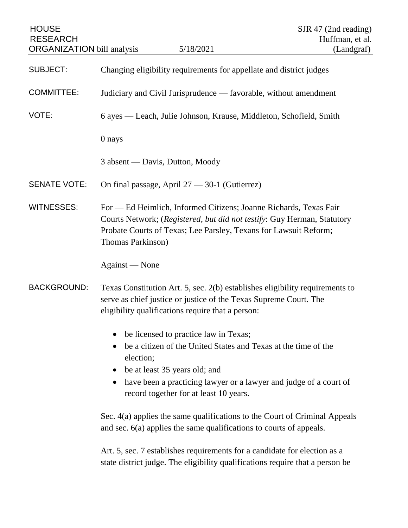| <b>HOUSE</b><br><b>RESEARCH</b><br><b>ORGANIZATION</b> bill analysis | 5/18/2021                                                                                                                                                                                                                                                                                      | SJR 47 (2nd reading)<br>Huffman, et al.<br>(Landgraf) |
|----------------------------------------------------------------------|------------------------------------------------------------------------------------------------------------------------------------------------------------------------------------------------------------------------------------------------------------------------------------------------|-------------------------------------------------------|
| <b>SUBJECT:</b>                                                      | Changing eligibility requirements for appellate and district judges                                                                                                                                                                                                                            |                                                       |
| <b>COMMITTEE:</b>                                                    | Judiciary and Civil Jurisprudence — favorable, without amendment                                                                                                                                                                                                                               |                                                       |
| VOTE:                                                                | 6 ayes — Leach, Julie Johnson, Krause, Middleton, Schofield, Smith                                                                                                                                                                                                                             |                                                       |
|                                                                      | 0 nays                                                                                                                                                                                                                                                                                         |                                                       |
|                                                                      | 3 absent — Davis, Dutton, Moody                                                                                                                                                                                                                                                                |                                                       |
| <b>SENATE VOTE:</b>                                                  | On final passage, April 27 - 30-1 (Gutierrez)                                                                                                                                                                                                                                                  |                                                       |
| <b>WITNESSES:</b>                                                    | For — Ed Heimlich, Informed Citizens; Joanne Richards, Texas Fair<br>Courts Network; (Registered, but did not testify: Guy Herman, Statutory<br>Probate Courts of Texas; Lee Parsley, Texans for Lawsuit Reform;<br>Thomas Parkinson)                                                          |                                                       |
|                                                                      | Against — None                                                                                                                                                                                                                                                                                 |                                                       |
| <b>BACKGROUND:</b>                                                   | Texas Constitution Art. 5, sec. 2(b) establishes eligibility requirements to<br>serve as chief justice or justice of the Texas Supreme Court. The<br>eligibility qualifications require that a person:                                                                                         |                                                       |
|                                                                      | be licensed to practice law in Texas;<br>be a citizen of the United States and Texas at the time of the<br>election;<br>be at least 35 years old; and<br>$\bullet$<br>have been a practicing lawyer or a lawyer and judge of a court of<br>$\bullet$<br>record together for at least 10 years. |                                                       |
|                                                                      | Sec. 4(a) applies the same qualifications to the Court of Criminal Appeals<br>and sec. 6(a) applies the same qualifications to courts of appeals.                                                                                                                                              |                                                       |
|                                                                      | Art. 5, sec. 7 establishes requirements for a candidate for election as a<br>state district judge. The eligibility qualifications require that a person be                                                                                                                                     |                                                       |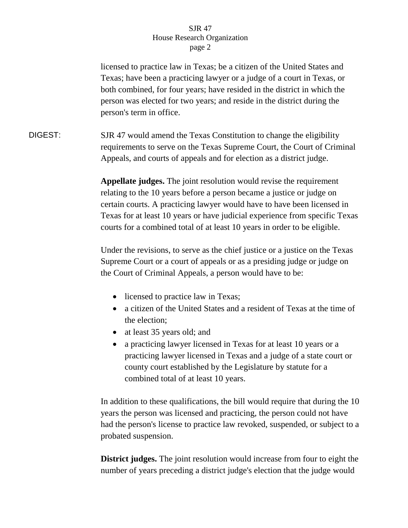## SJR 47 House Research Organization page 2

licensed to practice law in Texas; be a citizen of the United States and Texas; have been a practicing lawyer or a judge of a court in Texas, or both combined, for four years; have resided in the district in which the person was elected for two years; and reside in the district during the person's term in office.

DIGEST: SJR 47 would amend the Texas Constitution to change the eligibility requirements to serve on the Texas Supreme Court, the Court of Criminal Appeals, and courts of appeals and for election as a district judge.

> **Appellate judges.** The joint resolution would revise the requirement relating to the 10 years before a person became a justice or judge on certain courts. A practicing lawyer would have to have been licensed in Texas for at least 10 years or have judicial experience from specific Texas courts for a combined total of at least 10 years in order to be eligible.

Under the revisions, to serve as the chief justice or a justice on the Texas Supreme Court or a court of appeals or as a presiding judge or judge on the Court of Criminal Appeals, a person would have to be:

- licensed to practice law in Texas;
- a citizen of the United States and a resident of Texas at the time of the election;
- at least 35 years old; and
- a practicing lawyer licensed in Texas for at least 10 years or a practicing lawyer licensed in Texas and a judge of a state court or county court established by the Legislature by statute for a combined total of at least 10 years.

In addition to these qualifications, the bill would require that during the 10 years the person was licensed and practicing, the person could not have had the person's license to practice law revoked, suspended, or subject to a probated suspension.

**District judges.** The joint resolution would increase from four to eight the number of years preceding a district judge's election that the judge would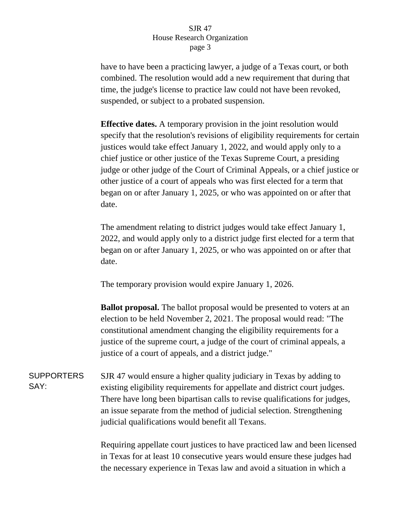## SJR 47 House Research Organization page 3

have to have been a practicing lawyer, a judge of a Texas court, or both combined. The resolution would add a new requirement that during that time, the judge's license to practice law could not have been revoked, suspended, or subject to a probated suspension.

**Effective dates.** A temporary provision in the joint resolution would specify that the resolution's revisions of eligibility requirements for certain justices would take effect January 1, 2022, and would apply only to a chief justice or other justice of the Texas Supreme Court, a presiding judge or other judge of the Court of Criminal Appeals, or a chief justice or other justice of a court of appeals who was first elected for a term that began on or after January 1, 2025, or who was appointed on or after that date.

The amendment relating to district judges would take effect January 1, 2022, and would apply only to a district judge first elected for a term that began on or after January 1, 2025, or who was appointed on or after that date.

The temporary provision would expire January 1, 2026.

**Ballot proposal.** The ballot proposal would be presented to voters at an election to be held November 2, 2021. The proposal would read: "The constitutional amendment changing the eligibility requirements for a justice of the supreme court, a judge of the court of criminal appeals, a justice of a court of appeals, and a district judge."

SUPPORTERS SAY: SJR 47 would ensure a higher quality judiciary in Texas by adding to existing eligibility requirements for appellate and district court judges. There have long been bipartisan calls to revise qualifications for judges, an issue separate from the method of judicial selection. Strengthening judicial qualifications would benefit all Texans.

> Requiring appellate court justices to have practiced law and been licensed in Texas for at least 10 consecutive years would ensure these judges had the necessary experience in Texas law and avoid a situation in which a